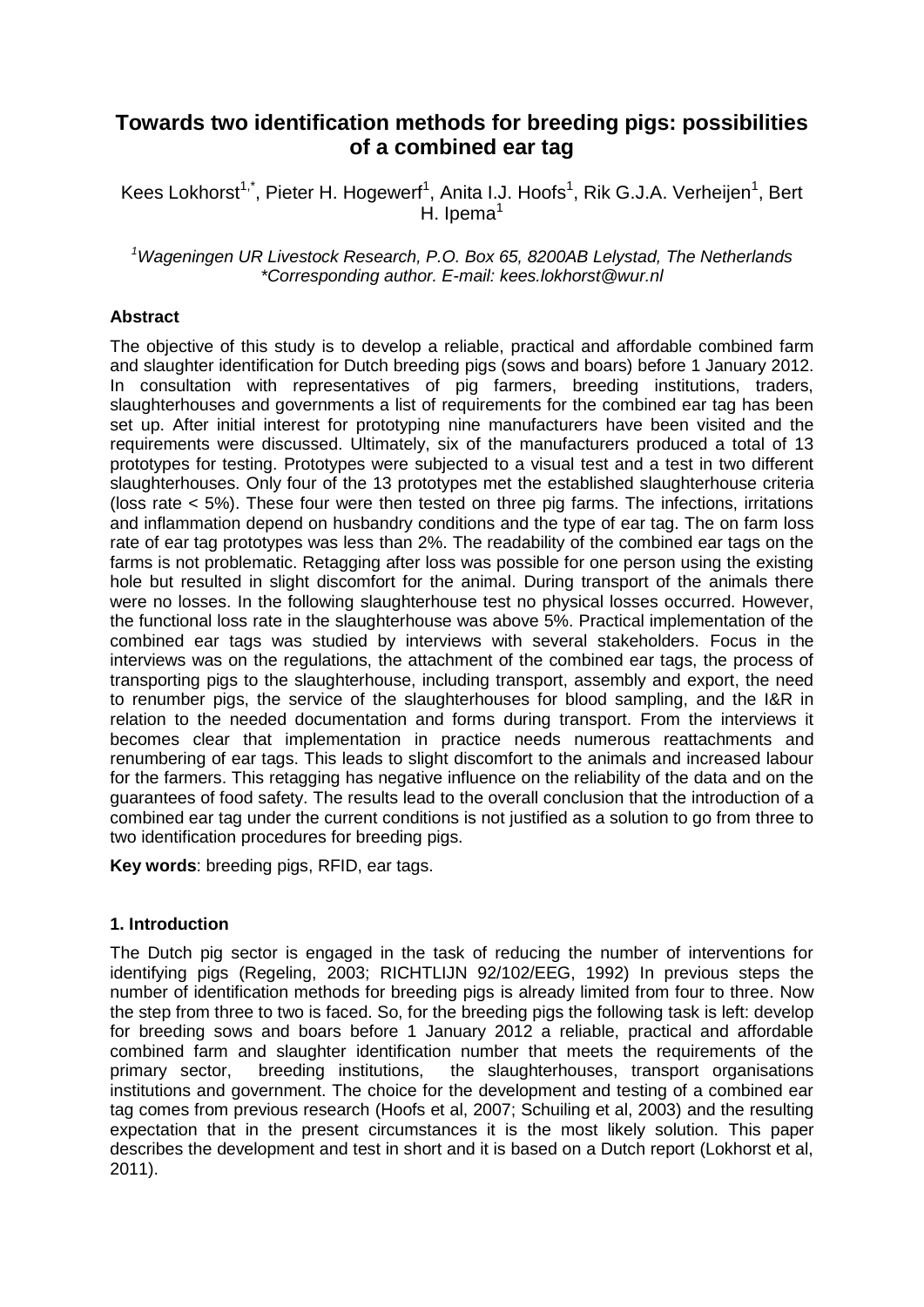# **Towards two identification methods for breeding pigs: possibilities of a combined ear tag**

Kees Lokhorst<sup>1,\*</sup>, Pieter H. Hogewerf<sup>1</sup>, Anita I.J. Hoofs<sup>1</sup>, Rik G.J.A. Verheijen<sup>1</sup>, Bert H. Ipema $<sup>1</sup>$ </sup>

#### *<sup>1</sup>Wageningen UR Livestock Research, P.O. Box 65, 8200AB Lelystad, The Netherlands \*Corresponding author. E-mail: kees.lokhorst@wur.nl*

### **Abstract**

The objective of this study is to develop a reliable, practical and affordable combined farm and slaughter identification for Dutch breeding pigs (sows and boars) before 1 January 2012. In consultation with representatives of pig farmers, breeding institutions, traders, slaughterhouses and governments a list of requirements for the combined ear tag has been set up. After initial interest for prototyping nine manufacturers have been visited and the requirements were discussed. Ultimately, six of the manufacturers produced a total of 13 prototypes for testing. Prototypes were subjected to a visual test and a test in two different slaughterhouses. Only four of the 13 prototypes met the established slaughterhouse criteria (loss rate < 5%). These four were then tested on three pig farms. The infections, irritations and inflammation depend on husbandry conditions and the type of ear tag. The on farm loss rate of ear tag prototypes was less than 2%. The readability of the combined ear tags on the farms is not problematic. Retagging after loss was possible for one person using the existing hole but resulted in slight discomfort for the animal. During transport of the animals there were no losses. In the following slaughterhouse test no physical losses occurred. However, the functional loss rate in the slaughterhouse was above 5%. Practical implementation of the combined ear tags was studied by interviews with several stakeholders. Focus in the interviews was on the regulations, the attachment of the combined ear tags, the process of transporting pigs to the slaughterhouse, including transport, assembly and export, the need to renumber pigs, the service of the slaughterhouses for blood sampling, and the I&R in relation to the needed documentation and forms during transport. From the interviews it becomes clear that implementation in practice needs numerous reattachments and renumbering of ear tags. This leads to slight discomfort to the animals and increased labour for the farmers. This retagging has negative influence on the reliability of the data and on the guarantees of food safety. The results lead to the overall conclusion that the introduction of a combined ear tag under the current conditions is not justified as a solution to go from three to two identification procedures for breeding pigs.

**Key words**: breeding pigs, RFID, ear tags.

### **1. Introduction**

The Dutch pig sector is engaged in the task of reducing the number of interventions for identifying pigs (Regeling, 2003; RICHTLIJN 92/102/EEG, 1992) In previous steps the number of identification methods for breeding pigs is already limited from four to three. Now the step from three to two is faced. So, for the breeding pigs the following task is left: develop for breeding sows and boars before 1 January 2012 a reliable, practical and affordable combined farm and slaughter identification number that meets the requirements of the primary sector, breeding institutions, the slaughterhouses, transport organisations institutions and government. The choice for the development and testing of a combined ear tag comes from previous research (Hoofs et al, 2007; Schuiling et al, 2003) and the resulting expectation that in the present circumstances it is the most likely solution. This paper describes the development and test in short and it is based on a Dutch report (Lokhorst et al, 2011).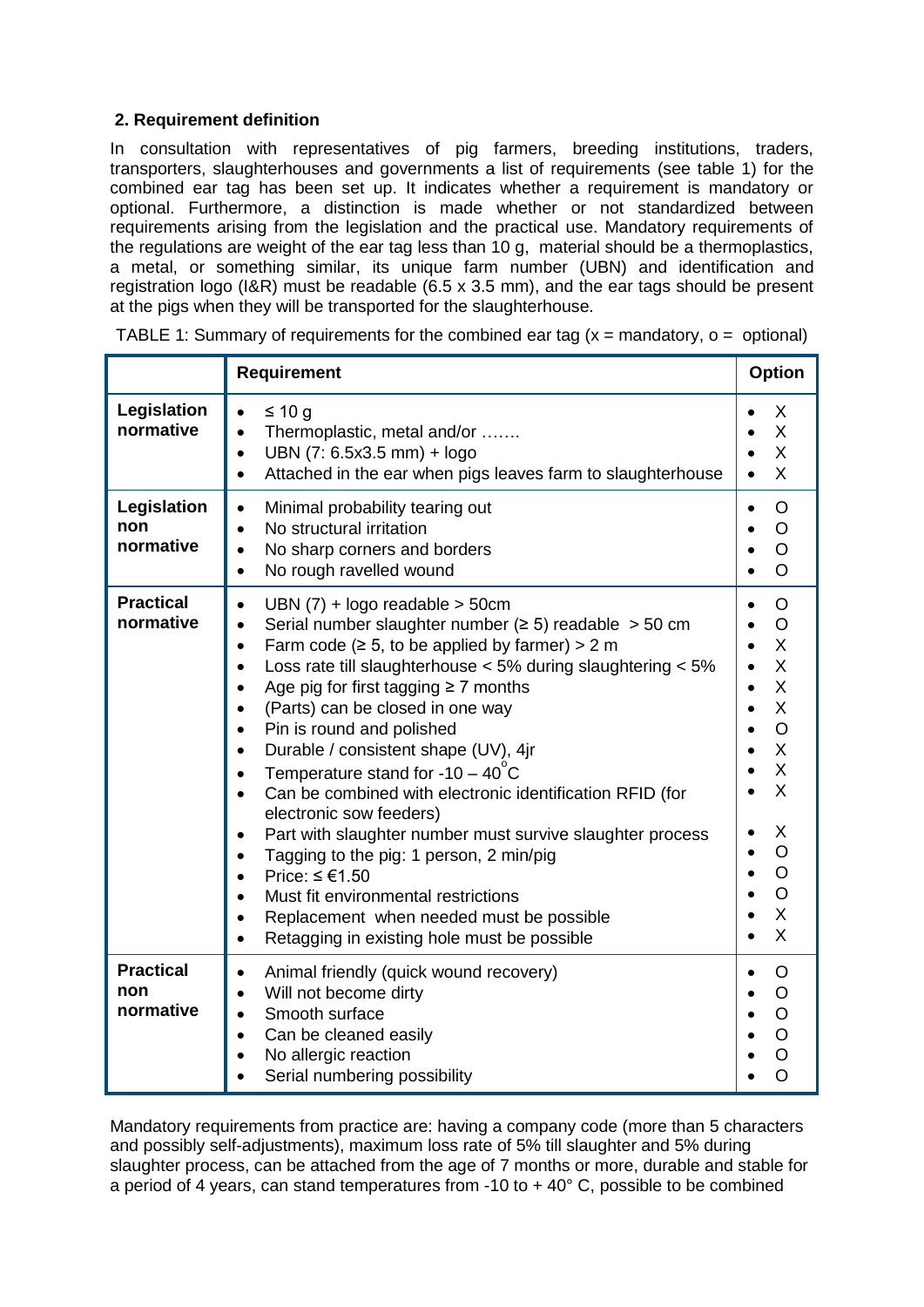# **2. Requirement definition**

In consultation with representatives of pig farmers, breeding institutions, traders, transporters, slaughterhouses and governments a list of requirements (see table 1) for the combined ear tag has been set up. It indicates whether a requirement is mandatory or optional. Furthermore, a distinction is made whether or not standardized between requirements arising from the legislation and the practical use. Mandatory requirements of the regulations are weight of the ear tag less than 10 g, material should be a thermoplastics, a metal, or something similar, its unique farm number (UBN) and identification and registration logo (I&R) must be readable (6.5 x 3.5 mm), and the ear tags should be present at the pigs when they will be transported for the slaughterhouse.

|                                      | Requirement                                                                                                                                                                                                                                                                                                                                                                                                                                                                                                                                                                                                                                                                                                                                                                                                                                                                                                                                                                                                   |                                                                                                                                                          |  |  |  |
|--------------------------------------|---------------------------------------------------------------------------------------------------------------------------------------------------------------------------------------------------------------------------------------------------------------------------------------------------------------------------------------------------------------------------------------------------------------------------------------------------------------------------------------------------------------------------------------------------------------------------------------------------------------------------------------------------------------------------------------------------------------------------------------------------------------------------------------------------------------------------------------------------------------------------------------------------------------------------------------------------------------------------------------------------------------|----------------------------------------------------------------------------------------------------------------------------------------------------------|--|--|--|
| Legislation<br>normative             | ≤ 10 g<br>$\bullet$<br>Thermoplastic, metal and/or<br>$\bullet$<br>UBN (7: 6.5x3.5 mm) + logo<br>$\bullet$<br>Attached in the ear when pigs leaves farm to slaughterhouse<br>$\bullet$                                                                                                                                                                                                                                                                                                                                                                                                                                                                                                                                                                                                                                                                                                                                                                                                                        | X<br>X<br>X<br>X                                                                                                                                         |  |  |  |
| Legislation<br>non<br>normative      | Minimal probability tearing out<br>$\bullet$<br>No structural irritation<br>$\bullet$<br>No sharp corners and borders<br>$\bullet$<br>No rough ravelled wound<br>$\bullet$                                                                                                                                                                                                                                                                                                                                                                                                                                                                                                                                                                                                                                                                                                                                                                                                                                    | O<br>$\bullet$<br>$\circ$<br>$\circ$<br>O                                                                                                                |  |  |  |
| <b>Practical</b><br>normative        | UBN $(7)$ + logo readable > 50cm<br>$\bullet$<br>Serial number slaughter number ( $\geq$ 5) readable $>$ 50 cm<br>$\bullet$<br>Farm code ( $\ge$ 5, to be applied by farmer) > 2 m<br>$\bullet$<br>Loss rate till slaughterhouse $<$ 5% during slaughtering $<$ 5%<br>$\bullet$<br>Age pig for first tagging $\geq 7$ months<br>$\bullet$<br>(Parts) can be closed in one way<br>$\bullet$<br>Pin is round and polished<br>$\bullet$<br>Durable / consistent shape (UV), 4jr<br>$\bullet$<br>Temperature stand for $-10 - 40^{\circ}$ C<br>$\bullet$<br>Can be combined with electronic identification RFID (for<br>$\bullet$<br>electronic sow feeders)<br>Part with slaughter number must survive slaughter process<br>$\bullet$<br>Tagging to the pig: 1 person, 2 min/pig<br>$\bullet$<br>Price: $\leq \text{\textsterling}1.50$<br>$\bullet$<br>Must fit environmental restrictions<br>Replacement when needed must be possible<br>$\bullet$<br>Retagging in existing hole must be possible<br>$\bullet$ | O<br>$\circ$<br>Χ<br>X<br>$\sf X$<br>X<br>$\bullet$<br>$\overline{O}$<br>$\sf X$<br>X<br>X<br>X<br>$\overline{O}$<br>$\circ$<br>$\overline{O}$<br>X<br>X |  |  |  |
| <b>Practical</b><br>non<br>normative | Animal friendly (quick wound recovery)<br>$\bullet$<br>Will not become dirty<br>$\bullet$<br>Smooth surface<br>$\bullet$<br>Can be cleaned easily<br>$\bullet$<br>No allergic reaction<br>Serial numbering possibility                                                                                                                                                                                                                                                                                                                                                                                                                                                                                                                                                                                                                                                                                                                                                                                        | O<br>$\circ$<br>$\overline{O}$                                                                                                                           |  |  |  |

TABLE 1: Summary of requirements for the combined ear tag  $(x =$  mandatory,  $o =$  optional)

Mandatory requirements from practice are: having a company code (more than 5 characters and possibly self-adjustments), maximum loss rate of 5% till slaughter and 5% during slaughter process, can be attached from the age of 7 months or more, durable and stable for a period of 4 years, can stand temperatures from -10 to  $+$  40 $^{\circ}$  C, possible to be combined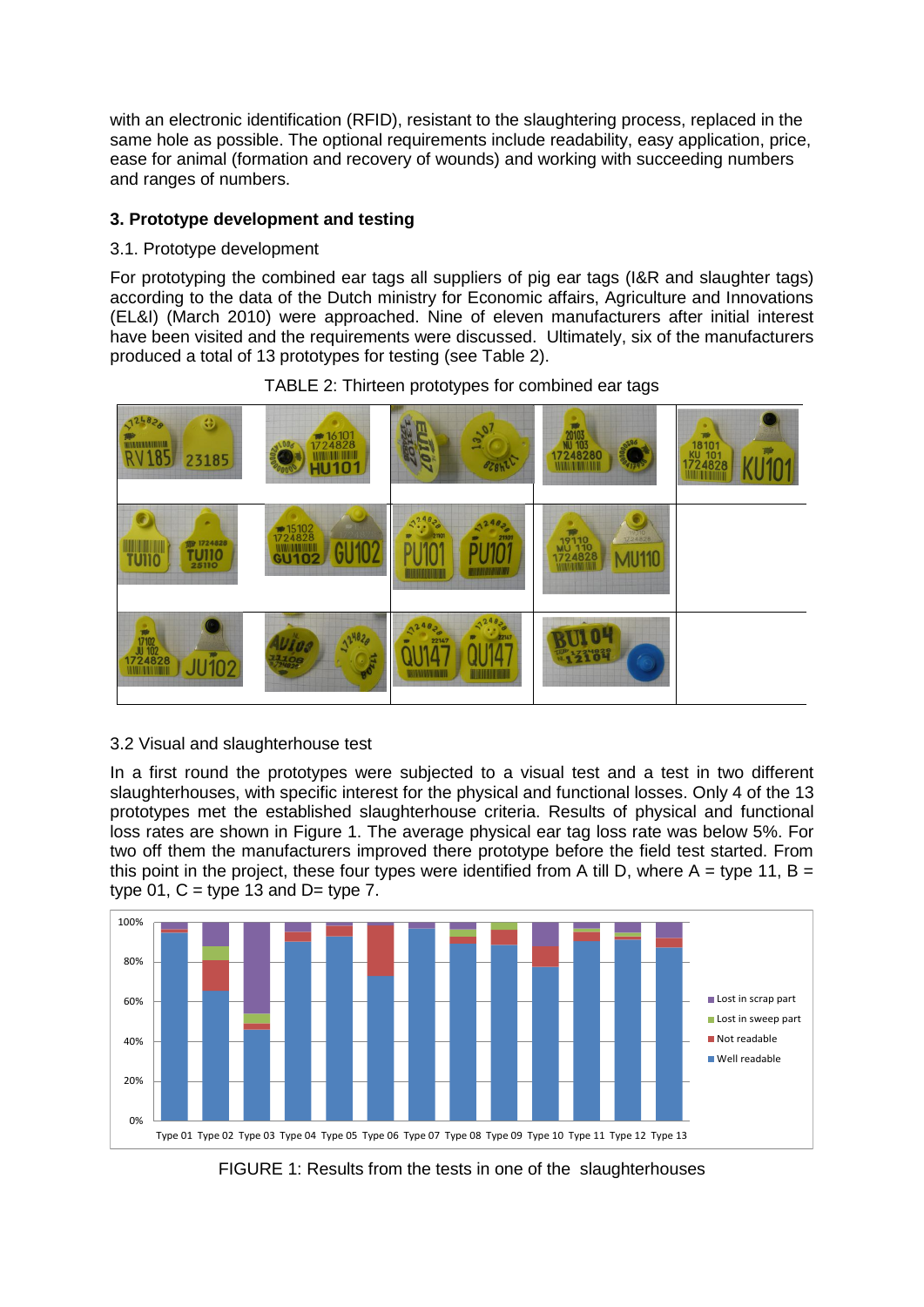with an electronic identification (RFID), resistant to the slaughtering process, replaced in the same hole as possible. The optional requirements include readability, easy application, price, ease for animal (formation and recovery of wounds) and working with succeeding numbers and ranges of numbers.

# **3. Prototype development and testing**

### 3.1. Prototype development

For prototyping the combined ear tags all suppliers of pig ear tags (I&R and slaughter tags) according to the data of the Dutch ministry for Economic affairs, Agriculture and Innovations (EL&I) (March 2010) were approached. Nine of eleven manufacturers after initial interest have been visited and the requirements were discussed. Ultimately, six of the manufacturers produced a total of 13 prototypes for testing (see Table 2).



### TABLE 2: Thirteen prototypes for combined ear tags

# 3.2 Visual and slaughterhouse test

In a first round the prototypes were subjected to a visual test and a test in two different slaughterhouses, with specific interest for the physical and functional losses. Only 4 of the 13 prototypes met the established slaughterhouse criteria. Results of physical and functional loss rates are shown in Figure 1. The average physical ear tag loss rate was below 5%. For two off them the manufacturers improved there prototype before the field test started. From this point in the project, these four types were identified from A till D, where  $A = type 11$ ,  $B =$ type  $01$ ,  $C =$  type  $13$  and  $D =$  type  $7$ .



FIGURE 1: Results from the tests in one of the slaughterhouses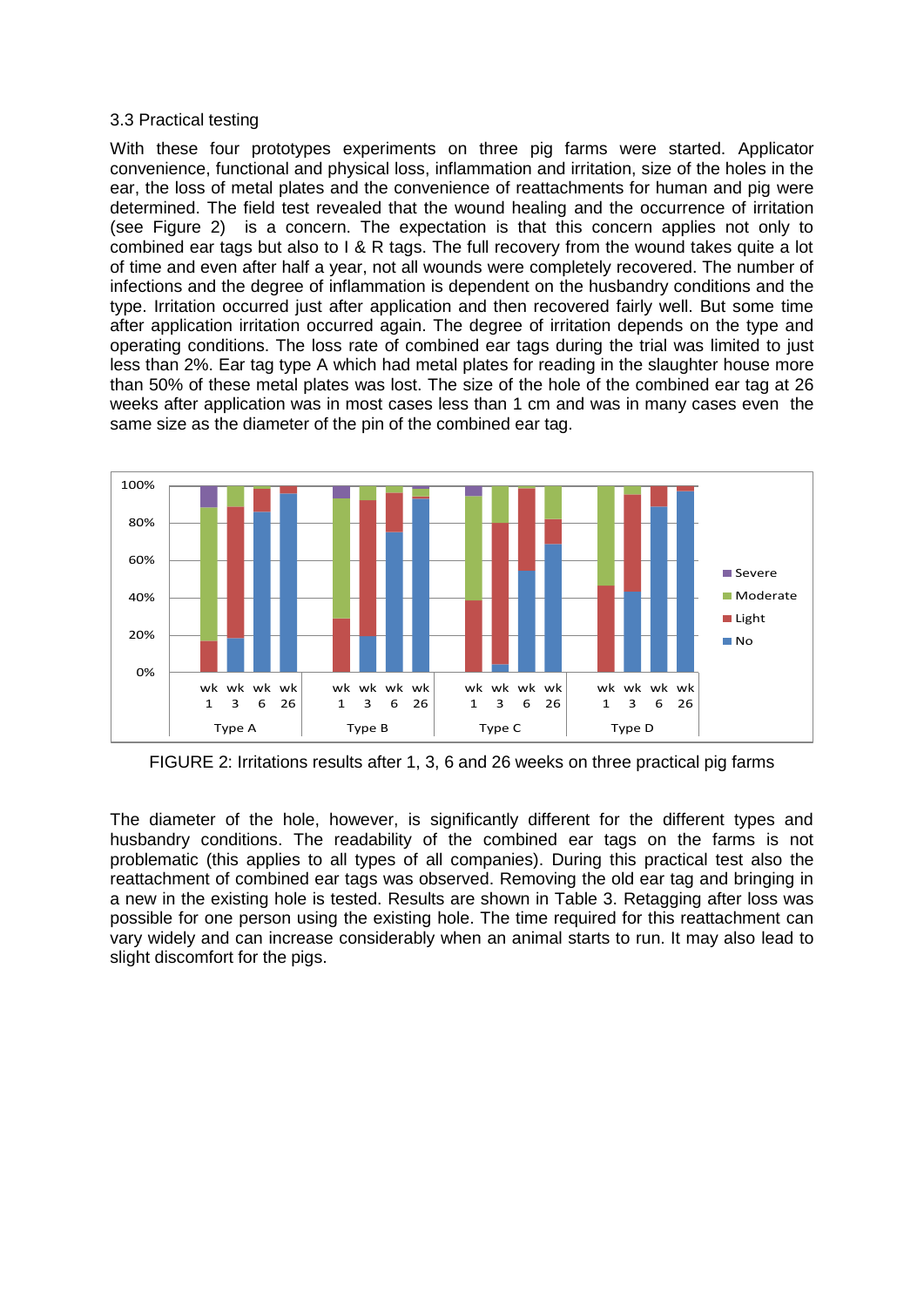#### 3.3 Practical testing

With these four prototypes experiments on three pig farms were started. Applicator convenience, functional and physical loss, inflammation and irritation, size of the holes in the ear, the loss of metal plates and the convenience of reattachments for human and pig were determined. The field test revealed that the wound healing and the occurrence of irritation (see Figure 2) is a concern. The expectation is that this concern applies not only to combined ear tags but also to I & R tags. The full recovery from the wound takes quite a lot of time and even after half a year, not all wounds were completely recovered. The number of infections and the degree of inflammation is dependent on the husbandry conditions and the type. Irritation occurred just after application and then recovered fairly well. But some time after application irritation occurred again. The degree of irritation depends on the type and operating conditions. The loss rate of combined ear tags during the trial was limited to just less than 2%. Ear tag type A which had metal plates for reading in the slaughter house more than 50% of these metal plates was lost. The size of the hole of the combined ear tag at 26 weeks after application was in most cases less than 1 cm and was in many cases even the same size as the diameter of the pin of the combined ear tag.



FIGURE 2: Irritations results after 1, 3, 6 and 26 weeks on three practical pig farms

The diameter of the hole, however, is significantly different for the different types and husbandry conditions. The readability of the combined ear tags on the farms is not problematic (this applies to all types of all companies). During this practical test also the reattachment of combined ear tags was observed. Removing the old ear tag and bringing in a new in the existing hole is tested. Results are shown in Table 3. Retagging after loss was possible for one person using the existing hole. The time required for this reattachment can vary widely and can increase considerably when an animal starts to run. It may also lead to slight discomfort for the pigs.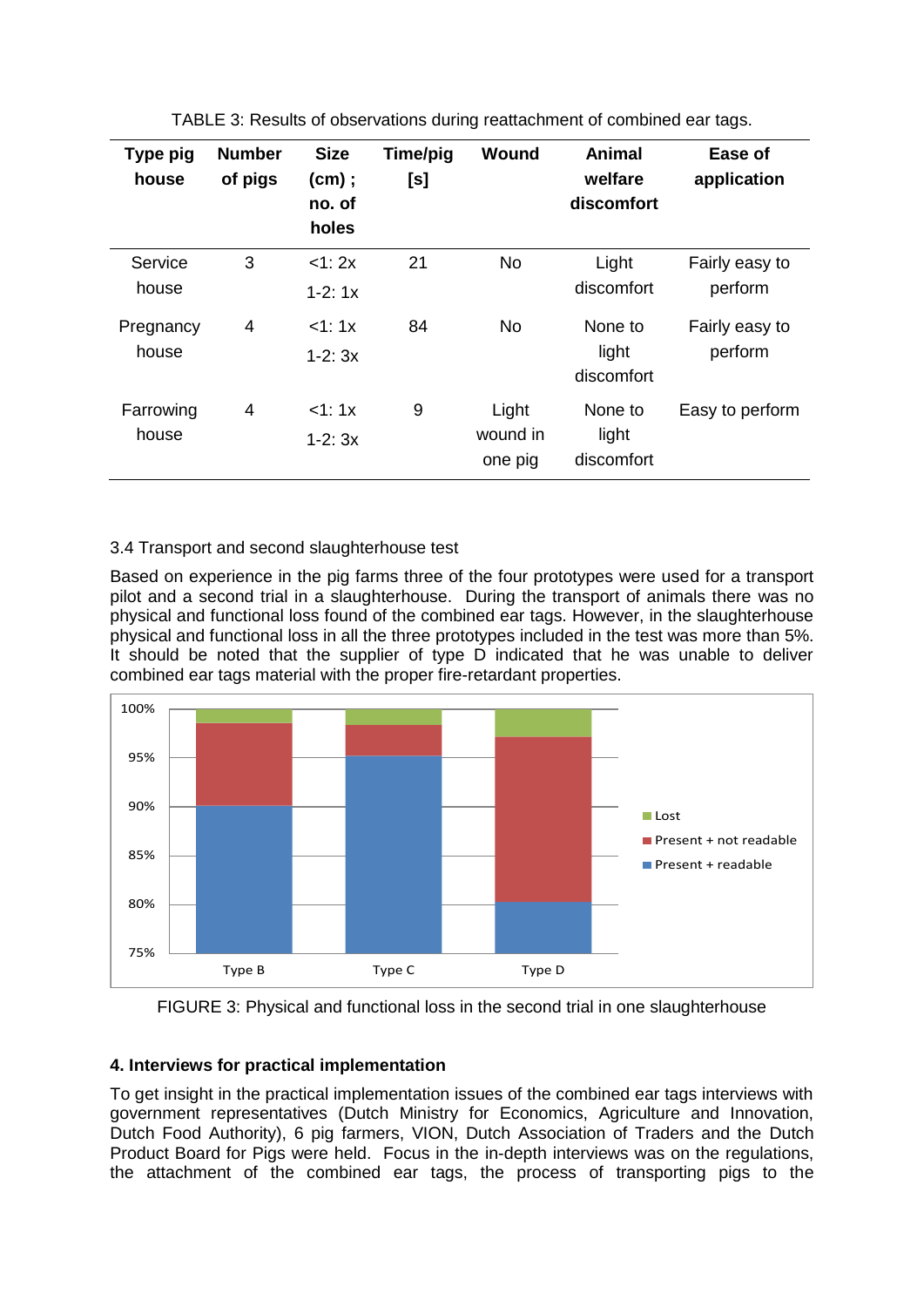| Type pig<br>house  | <b>Number</b><br>of pigs | <b>Size</b><br>(cm);<br>no. of<br>holes | Time/pig<br>[s] | Wound                        | Animal<br>welfare<br>discomfort | Ease of<br>application    |
|--------------------|--------------------------|-----------------------------------------|-----------------|------------------------------|---------------------------------|---------------------------|
| Service<br>house   | 3                        | <1:2x<br>$1-2:1x$                       | 21              | <b>No</b>                    | Light<br>discomfort             | Fairly easy to<br>perform |
| Pregnancy<br>house | 4                        | <1:1x<br>$1-2:3x$                       | 84              | <b>No</b>                    | None to<br>light<br>discomfort  | Fairly easy to<br>perform |
| Farrowing<br>house | 4                        | <1:1x<br>$1-2:3x$                       | 9               | Light<br>wound in<br>one pig | None to<br>light<br>discomfort  | Easy to perform           |

TABLE 3: Results of observations during reattachment of combined ear tags.

# 3.4 Transport and second slaughterhouse test

Based on experience in the pig farms three of the four prototypes were used for a transport pilot and a second trial in a slaughterhouse. During the transport of animals there was no physical and functional loss found of the combined ear tags. However, in the slaughterhouse physical and functional loss in all the three prototypes included in the test was more than 5%. It should be noted that the supplier of type D indicated that he was unable to deliver combined ear tags material with the proper fire-retardant properties.



FIGURE 3: Physical and functional loss in the second trial in one slaughterhouse

### **4. Interviews for practical implementation**

To get insight in the practical implementation issues of the combined ear tags interviews with government representatives (Dutch Ministry for Economics, Agriculture and Innovation, Dutch Food Authority), 6 pig farmers, VION, Dutch Association of Traders and the Dutch Product Board for Pigs were held. Focus in the in-depth interviews was on the regulations, the attachment of the combined ear tags, the process of transporting pigs to the